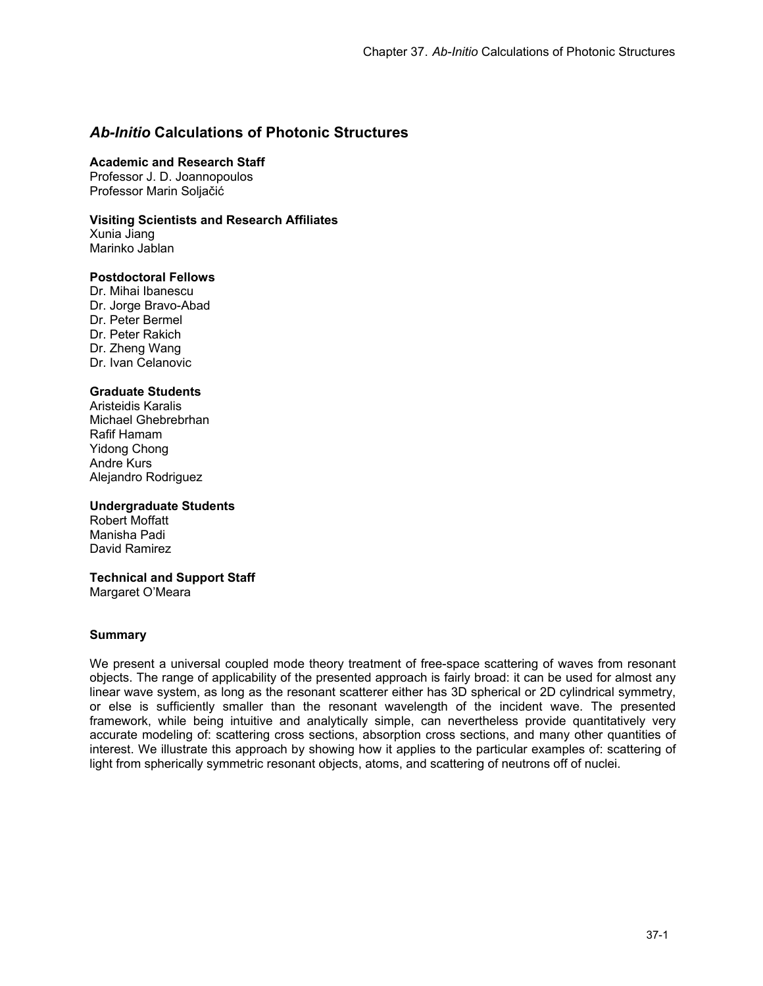# *Ab-Initio* **Calculations of Photonic Structures**

#### **Academic and Research Staff**

Professor J. D. Joannopoulos Professor Marin Soljačić

### **Visiting Scientists and Research Affiliates**

Xunia Jiang Marinko Jablan

#### **Postdoctoral Fellows**

Dr. Mihai Ibanescu Dr. Jorge Bravo-Abad Dr. Peter Bermel Dr. Peter Rakich Dr. Zheng Wang Dr. Ivan Celanovic

### **Graduate Students**

Aristeidis Karalis Michael Ghebrebrhan Rafif Hamam Yidong Chong Andre Kurs Alejandro Rodriguez

#### **Undergraduate Students**

Robert Moffatt Manisha Padi David Ramirez

#### **Technical and Support Staff**

Margaret O'Meara

#### **Summary**

We present a universal coupled mode theory treatment of free-space scattering of waves from resonant objects. The range of applicability of the presented approach is fairly broad: it can be used for almost any linear wave system, as long as the resonant scatterer either has 3D spherical or 2D cylindrical symmetry, or else is sufficiently smaller than the resonant wavelength of the incident wave. The presented framework, while being intuitive and analytically simple, can nevertheless provide quantitatively very accurate modeling of: scattering cross sections, absorption cross sections, and many other quantities of interest. We illustrate this approach by showing how it applies to the particular examples of: scattering of light from spherically symmetric resonant objects, atoms, and scattering of neutrons off of nuclei.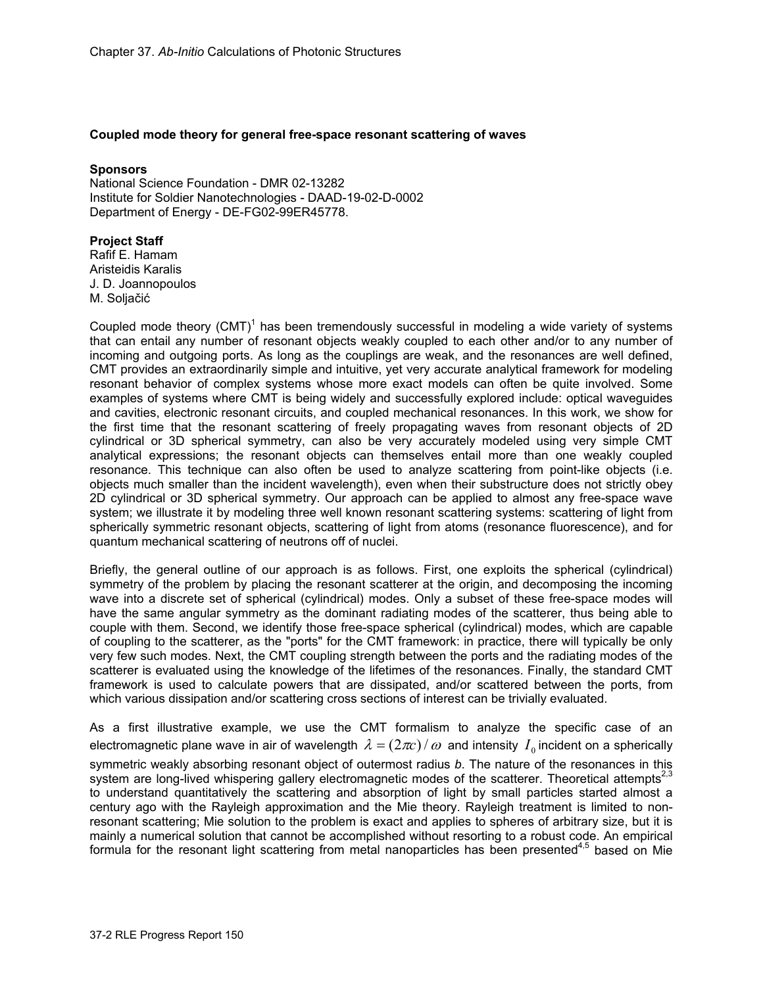#### **Coupled mode theory for general free-space resonant scattering of waves**

#### **Sponsors**

National Science Foundation - DMR 02-13282 Institute for Soldier Nanotechnologies - DAAD-19-02-D-0002 Department of Energy - DE-FG02-99ER45778.

#### **Project Staff**

Rafif E. Hamam Aristeidis Karalis J. D. Joannopoulos M. Soljačić

Coupled mode theory  $(CMT)^1$  has been tremendously successful in modeling a wide variety of systems that can entail any number of resonant objects weakly coupled to each other and/or to any number of incoming and outgoing ports. As long as the couplings are weak, and the resonances are well defined, CMT provides an extraordinarily simple and intuitive, yet very accurate analytical framework for modeling resonant behavior of complex systems whose more exact models can often be quite involved. Some examples of systems where CMT is being widely and successfully explored include: optical waveguides and cavities, electronic resonant circuits, and coupled mechanical resonances. In this work, we show for the first time that the resonant scattering of freely propagating waves from resonant objects of 2D cylindrical or 3D spherical symmetry, can also be very accurately modeled using very simple CMT analytical expressions; the resonant objects can themselves entail more than one weakly coupled resonance. This technique can also often be used to analyze scattering from point-like objects (i.e. objects much smaller than the incident wavelength), even when their substructure does not strictly obey 2D cylindrical or 3D spherical symmetry. Our approach can be applied to almost any free-space wave system; we illustrate it by modeling three well known resonant scattering systems: scattering of light from spherically symmetric resonant objects, scattering of light from atoms (resonance fluorescence), and for quantum mechanical scattering of neutrons off of nuclei.

Briefly, the general outline of our approach is as follows. First, one exploits the spherical (cylindrical) symmetry of the problem by placing the resonant scatterer at the origin, and decomposing the incoming wave into a discrete set of spherical (cylindrical) modes. Only a subset of these free-space modes will have the same angular symmetry as the dominant radiating modes of the scatterer, thus being able to couple with them. Second, we identify those free-space spherical (cylindrical) modes, which are capable of coupling to the scatterer, as the "ports" for the CMT framework: in practice, there will typically be only very few such modes. Next, the CMT coupling strength between the ports and the radiating modes of the scatterer is evaluated using the knowledge of the lifetimes of the resonances. Finally, the standard CMT framework is used to calculate powers that are dissipated, and/or scattered between the ports, from which various dissipation and/or scattering cross sections of interest can be trivially evaluated.

As a first illustrative example, we use the CMT formalism to analyze the specific case of an electromagnetic plane wave in air of wavelength  $\lambda = (2\pi c)/\omega$  and intensity  $I_0$  incident on a spherically symmetric weakly absorbing resonant object of outermost radius *b*. The nature of the resonances in this system are long-lived whispering gallery electromagnetic modes of the scatterer. Theoretical attempts<sup>2,3</sup> to understand quantitatively the scattering and absorption of light by small particles started almost a century ago with the Rayleigh approximation and the Mie theory. Rayleigh treatment is limited to nonresonant scattering; Mie solution to the problem is exact and applies to spheres of arbitrary size, but it is mainly a numerical solution that cannot be accomplished without resorting to a robust code. An empirical formula for the resonant light scattering from metal nanoparticles has been presented<sup>4,5</sup> based on Mie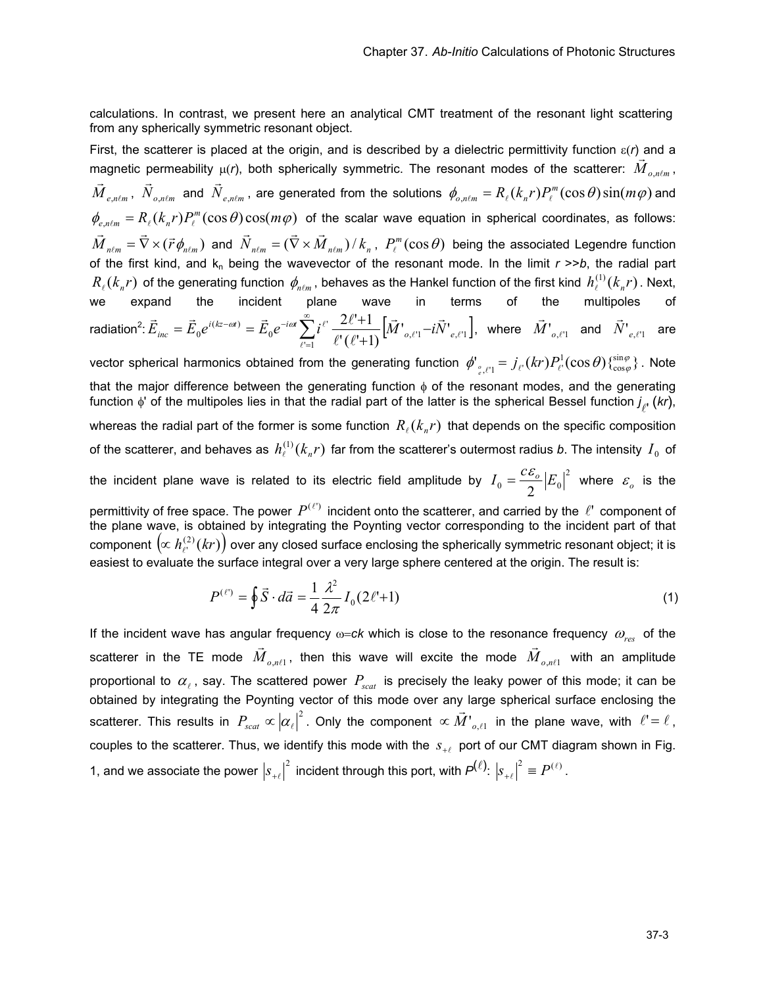calculations. In contrast, we present here an analytical CMT treatment of the resonant light scattering from any spherically symmetric resonant object.

First, the scatterer is placed at the origin, and is described by a dielectric permittivity function ε(*r*) and a magnetic permeability  $\mu(r)$ , both spherically symmetric. The resonant modes of the scatterer:  $\vec{M}_{o,n\ell m}$  $n \ell m$ ,  ${\vec M}_{e,n\ell m}$  ,  ${\vec N}_{o,n\ell m}$  and  ${\vec N}_{e,n\ell m}$  , are generated from the solutions  $\phi_{o,n\ell m}=R_\ell(k_n r)P_\ell^m(\cos\theta)\sin(m\varphi)$  and  $\phi_{e,n\ell m} = R_{\ell}(k_n r) P_{\ell}^{m}(\cos\theta) \cos(m\varphi)$  of the scalar wave equation in spherical coordinates, as follows:  $\vec{M}_{n\ell m}=\vec{\nabla}\times(\vec{r}\,\phi_{n\ell m})$  and  $\vec{N}_{n\ell m}=(\vec{\nabla}\times\vec{M}_{n\ell m})$  /  $k_n$  ,  $P_\ell^m(\cos\theta)$  being the associated Legendre function of the first kind, and  $k_n$  being the wavevector of the resonant mode. In the limit  $r \gg b$ , the radial part  $R_{\ell}(k_n r)$  of the generating function  $\phi_{n\ell m}$ , behaves as the Hankel function of the first kind  $h_{\ell}^{(1)}(k_n r)$ . Next, we expand the incident plane wave in terms of the multipoles of radiation $^2$ :  $\vec{E}_{inc} = \vec{E}_0 e^{i(kz-\omega t)} = \vec{E}_0 e^{-i\omega t} \sum_{\ell'=1} i^{\ell'} \frac{2\epsilon+1}{\ell'(\ell'+1)} \Big[ \vec{M'}_{o,\ell'1} - i \vec{N'}_{e,\ell'1} \Big]$  $_0e^{-i\omega t}\sum i^{\ell'}$  $\partial_{0}e^{i(kz-\alpha t)}=\vec{E}_{0}e^{-i\omega t}\sum_{\ell'=1}i^{\ell'}\frac{2\ell+1}{\ell'\left(\ell'+1\right)}\Big[\vec{M'}_{o,\ell'1}^{\phantom{0}}-i\vec{N'}_{o}^{\phantom{0}}\Big]$  $2\ell + 1$  $\ell$ <sup>'</sup>l  $\ell$ <sup>'</sup>,  $\ell$ <sup>'</sup>  $\ell$  $\ell$   $\frac{2\ell+1}{\tilde{M}}$   $\bar{M}$   $-i\vec{N}$  $\ell^{\prime}$  (  $\ell$  $\vec{E}_{inc} = \vec{E}_0 e^{i(kz-\omega t)} = \vec{E}_0 e^{-i\omega t} \sum_{\ell'=1}^{\infty} i^{\ell'} \frac{2\ell'+1}{\ell'(\ell'+1)} [\vec{M'}_{o,\ell'1} - i\vec{N'}_{e}]$  $\vec{F}_{\sigma}(\vec{r}) = \vec{E}_{0} e^{-i\omega t} \sum_{\ell'=1}^{\infty} i^{\ell'} \frac{2\ell'+1}{\ell'(\ell'+1)} \Big[ \vec{M'}_{o,\ell'1} - i\vec{N'}_{e,\ell'1} \Big],$  where  $\vec{M'}_{o,\ell'1}$  and  $\vec{N'}_{e,\ell'1}$  are vector spherical harmonics obtained from the generating function  $\ket{\phi}_{e_{\ell'1}}=j_{\ell'}(kr)P_{\ell'}^1(\cos\theta)\{_{\cos\phi}^{\sin\phi}\}$ 1  $\phi'_{\phi,\ell'1} = j_{\ell'}(kr)P_{\ell'}^1(\cos\theta)\{\frac{\sin\phi}{\cos\phi}\}\.$  Note that the major difference between the generating function  $\phi$  of the resonant modes, and the generating function  $\phi$ ' of the multipoles lies in that the radial part of the latter is the spherical Bessel function  $j_{\ell'}^{}$  (*kr*), whereas the radial part of the former is some function  $R_{\ell}(k_{n}r)$  that depends on the specific composition of the scatterer, and behaves as  $h_{\ell}^{(1)}(k_n r)$  far from the scatterer's outermost radius *b*. The intensity  $I_0$  of the incident plane wave is related to its electric field amplitude by  $I_0 = \frac{c \mathcal{E}_o}{\epsilon} |E_0|^2$  $I_0 = \frac{c\,\varepsilon_o}{2} \big| E_0 \big|^2$  where  $\varepsilon_o$  is the

permittivity of free space. The power  $P^{(\ell)}$  incident onto the scatterer, and carried by the  $\ell'$  component of the plane wave, is obtained by integrating the Poynting vector corresponding to the incident part of that component  $\left(\propto h_{\ell'}^{(2)}(kr)\right)$  over any closed surface enclosing the spherically symmetric resonant object; it is easiest to evaluate the surface integral over a very large sphere centered at the origin. The result is:

$$
P^{(\ell)} = \oint \vec{S} \cdot d\vec{a} = \frac{1}{4} \frac{\lambda^2}{2\pi} I_0 (2\ell^1 + 1)
$$
 (1)

If the incident wave has angular frequency  $\omega = c k$  which is close to the resonance frequency  $\omega_{res}$  of the scatterer in the TE mode  $\overline{M}_{o, n\ell 1}$  $\vec{M}_{o,n\ell 1}$ , then this wave will excite the mode  $\vec{M}_{o,n\ell 1}$  with an amplitude proportional to  $\alpha_{\ell}$ , say. The scattered power  $P_{scat}$  is precisely the leaky power of this mode; it can be obtained by integrating the Poynting vector of this mode over any large spherical surface enclosing the scatterer. This results in  $P_{scat} \propto |\alpha_{\ell}|^2$ . Only the component  $\propto \vec{M'}_{o,\ell 1}$  in the plane wave, with  $\ell' = \ell$ , couples to the scatterer. Thus, we identify this mode with the  $s_{+l}$  port of our CMT diagram shown in Fig. 1, and we associate the power  $|s_{+\ell}|^2$  incident through this port, with  $P^{(\ell)}: |s_{+\ell}|^2 \equiv P^{(\ell)}$ .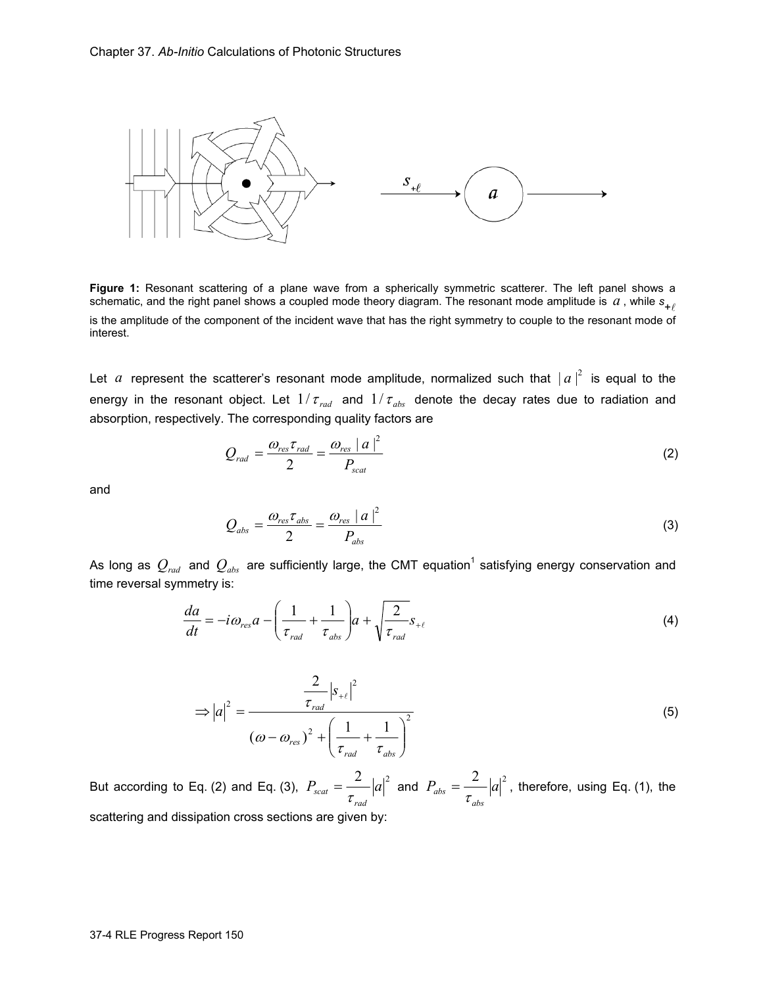

**Figure 1:** Resonant scattering of a plane wave from a spherically symmetric scatterer. The left panel shows a schematic, and the right panel shows a coupled mode theory diagram. The resonant mode amplitude is  $a$  , while  $s_{+\ell}$ is the amplitude of the component of the incident wave that has the right symmetry to couple to the resonant mode of interest.

Let *a* represent the scatterer's resonant mode amplitude, normalized such that  $|a|^2$  is equal to the energy in the resonant object. Let  $1/\tau_{rad}$  and  $1/\tau_{abs}$  denote the decay rates due to radiation and absorption, respectively. The corresponding quality factors are

$$
Q_{rad} = \frac{\omega_{res} \tau_{rad}}{2} = \frac{\omega_{res} |a|^2}{P_{scat}}
$$
 (2)

and

$$
Q_{abs} = \frac{\omega_{res} \tau_{abs}}{2} = \frac{\omega_{res} |a|^2}{P_{abs}}
$$
 (3)

As long as  $Q_{\rm rad}$  and  $Q_{\rm abs}$  are sufficiently large, the CMT equation<sup>1</sup> satisfying energy conservation and time reversal symmetry is:

$$
\frac{da}{dt} = -i\omega_{res}a - \left(\frac{1}{\tau_{rad}} + \frac{1}{\tau_{abs}}\right)a + \sqrt{\frac{2}{\tau_{rad}}}s_{+\ell}
$$
\n(4)

$$
\Rightarrow |a|^2 = \frac{\frac{2}{\tau_{rad}} |s_{+\ell}|^2}{(\omega - \omega_{res})^2 + \left(\frac{1}{\tau_{rad}} + \frac{1}{\tau_{abs}}\right)^2}
$$
(5)

But according to Eq. (2) and Eq. (3),  $P_{scat} = \frac{2}{2} |a|^2$  $P_{scat} = \frac{2}{\tau_{rad}} |a|^2$  and  $P_{abs} = \frac{2}{\tau_{abs}} |a|^2$ *abs*  $P_{abs} = \frac{2}{\tau_{obs}} |a|^2$ , therefore, using Eq. (1), the scattering and dissipation cross sections are given by: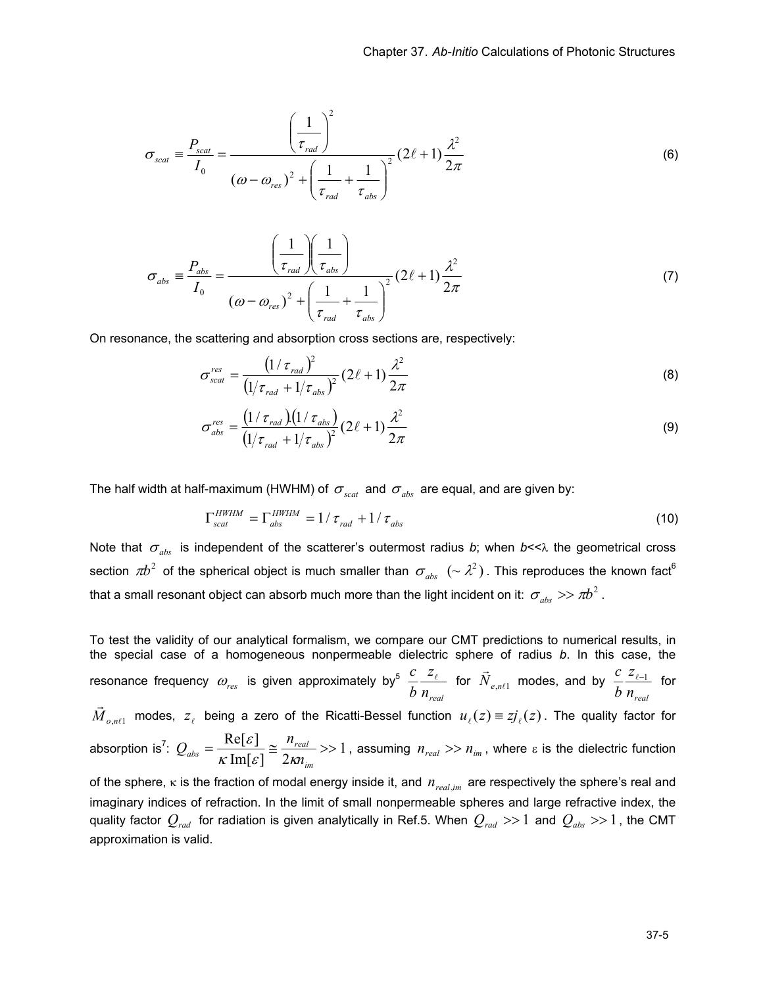$$
\sigma_{scat} = \frac{P_{scat}}{I_0} = \frac{\left(\frac{1}{\tau_{rad}}\right)^2}{\left(\omega - \omega_{res}\right)^2 + \left(\frac{1}{\tau_{rad}} + \frac{1}{\tau_{abs}}\right)^2} \left(2\ell + 1\right) \frac{\lambda^2}{2\pi}
$$
\n(6)

$$
\sigma_{abs} = \frac{P_{abs}}{I_0} = \frac{\left(\frac{1}{\tau_{rad}}\right)\left(\frac{1}{\tau_{abs}}\right)}{\left(\omega - \omega_{res}\right)^2 + \left(\frac{1}{\tau_{rad}} + \frac{1}{\tau_{abs}}\right)^2} (2\ell + 1) \frac{\lambda^2}{2\pi}
$$
\n(7)

On resonance, the scattering and absorption cross sections are, respectively:

$$
\sigma_{scat}^{res} = \frac{\left(1/\tau_{rad}\right)^2}{\left(1/\tau_{rad} + 1/\tau_{abs}\right)^2} \left(2\ell + 1\right) \frac{\lambda^2}{2\pi}
$$
\n(8)

$$
\sigma_{abs}^{res} = \frac{\left(1/\tau_{rad}\right)\left(1/\tau_{abs}\right)}{\left(1/\tau_{rad} + 1/\tau_{abs}\right)^2} (2\ell + 1) \frac{\lambda^2}{2\pi}
$$
\n(9)

The half width at half-maximum (HWHM) of  $\sigma_{\text{scat}}$  and  $\sigma_{\text{abs}}$  are equal, and are given by:

$$
\Gamma_{scat}^{HWHM} = \Gamma_{abs}^{HWHM} = 1/\tau_{rad} + 1/\tau_{abs}
$$
\n(10)

Note that  $\sigma_{abs}$  is independent of the scatterer's outermost radius *b*; when *b*<< $\lambda$  the geometrical cross section  $\pi b^2$  of the spherical object is much smaller than  $\sigma_{_{abs}}\;$   $(\sim \lambda^2)$  . This reproduces the known fact<sup>6</sup> that a small resonant object can absorb much more than the light incident on it:  $\sigma_{abs} \gg \pi b^2$ .

To test the validity of our analytical formalism, we compare our CMT predictions to numerical results, in the special case of a homogeneous nonpermeable dielectric sphere of radius *b*. In this case, the resonance frequency  $\omega_{\scriptscriptstyle res}$  is given approximately by<sup>5</sup> *nreal z*  $\frac{c}{b} \frac{z_{\ell}}{n_{\textit{real}}}$  for  $\vec{N}_{e,n\ell 1}$  modes, and by *nreal z b*  $\frac{c}{\sqrt{c}}$   $\frac{z_{\ell-1}}{z_{\ell-1}}$  for  $n\ell$ 1 *M*<sub>*o,nℓ*1</sub> modes,  $z$ <sub>ℓ</sub> being a zero of the Ricatti-Bessel function  $u$ <sub>ℓ</sub>(*z*) =  $zj$ <sub>ℓ</sub>(*z*). The quality factor for absorption is<sup>7</sup>:  $Q_{obs} = \frac{nc_1c_1}{r} \approx \frac{n_{real}}{r} >> 1$  $\text{Im}[\varepsilon]$  2  $=\frac{\text{Re}[\varepsilon]}{n} \equiv \frac{n_{\text{real}}}{n}$ *im*  $r_{abs} = \frac{R_{e}^{2}C_{e}^{2}}{K \operatorname{Im}[\varepsilon]} \approx \frac{n_{real}}{2 \kappa n_{in}}$  $Q_{abs} = \frac{\text{Re}[\varepsilon]}{\kappa \text{Im}[\varepsilon]} \approx \frac{n_{re}}{2\kappa}$  $\frac{E}{\kappa}$  =  $\frac{n_{real}}{2\kappa}$  >> 1, assuming  $n_{real}$  >>  $n_{im}$ , where ε is the dielectric function of the sphere,  $\kappa$  is the fraction of modal energy inside it, and  $n_{real,m}$  are respectively the sphere's real and

imaginary indices of refraction. In the limit of small nonpermeable spheres and large refractive index, the quality factor  $Q_{rad}$  for radiation is given analytically in Ref.5. When  $Q_{rad} >> 1$  and  $Q_{abs} >> 1$ , the CMT approximation is valid.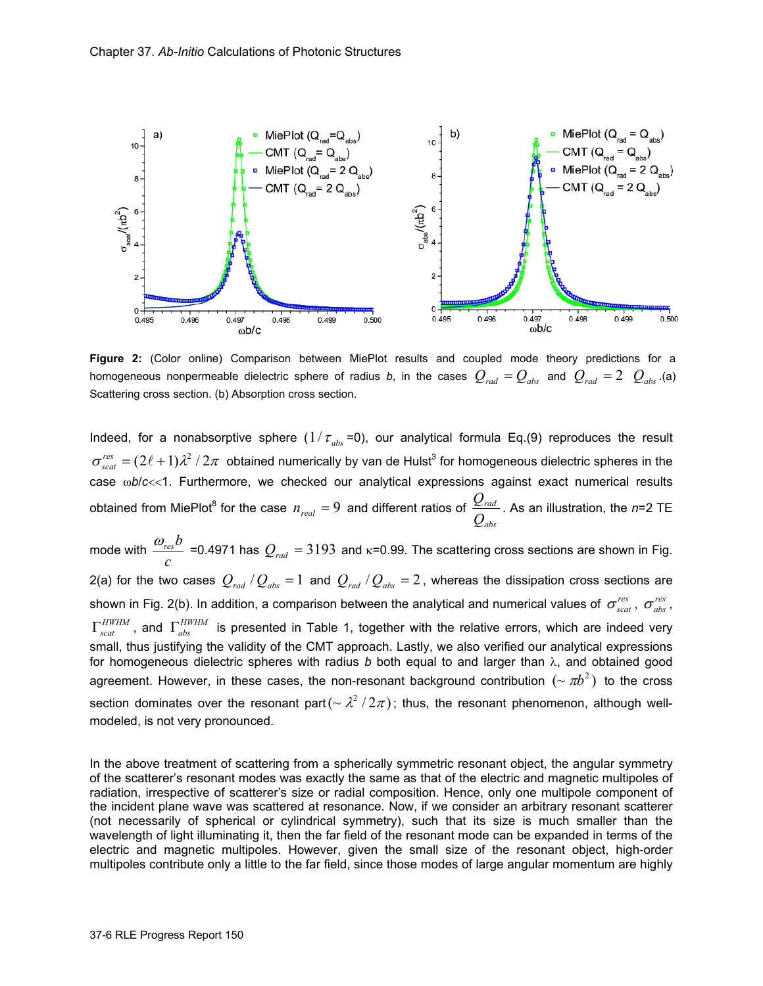

**Figure 2:** (Color online) Comparison between MiePlot results and coupled mode theory predictions for a homogeneous nonpermeable dielectric sphere of radius *b*, in the cases  $Q_{rad} = Q_{abc}$  and  $Q_{rad} = 2$   $Q_{abc}$ .(a) Scattering cross section. (b) Absorption cross section.

Indeed, for a nonabsorptive sphere  $(1/\tau_{abs} = 0)$ , our analytical formula Eq.(9) reproduces the result  $\sigma_{scat}^{res}=(2\ell+1)\lambda^2$  /  $2\pi$  obtained numerically by van de Hulst<sup>3</sup> for homogeneous dielectric spheres in the case wb/c<<1. Furthermore, we checked our analytical expressions against exact numerical results obtained from MiePlot<sup>8</sup> for the case  $n_{\text{real}} = 9$  and different ratios of *abs rad Q*  $\frac{Q_{rad}}{Q_{rad}}$ . As an illustration, the *n*=2 TE

mode with  $\frac{c}{c}$  $\frac{\omega_{res}b}{\omega}$  =0.4971 has  $Q_{rad}$  = 3193 and κ=0.99. The scattering cross sections are shown in Fig. 2(a) for the two cases  $Q_{rad}$  / $Q_{abs}$  = 1 and  $Q_{rad}$  / $Q_{abs}$  = 2, whereas the dissipation cross sections are shown in Fig. 2(b). In addition, a comparison between the analytical and numerical values of  $\sigma_{scat}^{res}$ ,  $\sigma_{abs}^{res}$ , *HWHM*, and *Γ<sub>abs</sub>* is presented in Table 1, together with the relative errors, which are indeed very small, thus justifying the validity of the CMT approach. Lastly, we also verified our analytical expressions for homogeneous dielectric spheres with radius *b* both equal to and larger than λ, and obtained good agreement. However, in these cases, the non-resonant background contribution  $(\sim \pi b^2)$  to the cross section dominates over the resonant part( $\sim \lambda^2/2\pi$ ); thus, the resonant phenomenon, although wellmodeled, is not very pronounced.

In the above treatment of scattering from a spherically symmetric resonant object, the angular symmetry of the scatterer's resonant modes was exactly the same as that of the electric and magnetic multipoles of radiation, irrespective of scatterer's size or radial composition. Hence, only one multipole component of the incident plane wave was scattered at resonance. Now, if we consider an arbitrary resonant scatterer (not necessarily of spherical or cylindrical symmetry), such that its size is much smaller than the wavelength of light illuminating it, then the far field of the resonant mode can be expanded in terms of the electric and magnetic multipoles. However, given the small size of the resonant object, high-order multipoles contribute only a little to the far field, since those modes of large angular momentum are highly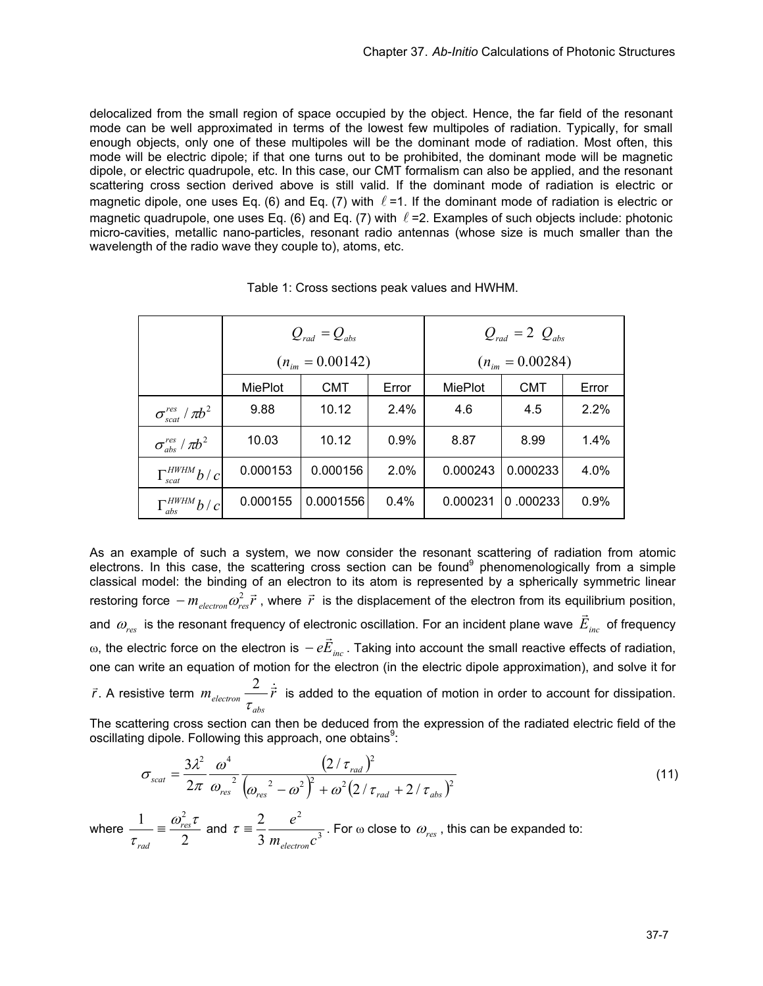delocalized from the small region of space occupied by the object. Hence, the far field of the resonant mode can be well approximated in terms of the lowest few multipoles of radiation. Typically, for small enough objects, only one of these multipoles will be the dominant mode of radiation. Most often, this mode will be electric dipole; if that one turns out to be prohibited, the dominant mode will be magnetic dipole, or electric quadrupole, etc. In this case, our CMT formalism can also be applied, and the resonant scattering cross section derived above is still valid. If the dominant mode of radiation is electric or magnetic dipole, one uses Eq. (6) and Eq. (7) with  $\ell$  =1. If the dominant mode of radiation is electric or magnetic quadrupole, one uses Eq. (6) and Eq. (7) with  $\ell$  =2. Examples of such objects include: photonic micro-cavities, metallic nano-particles, resonant radio antennas (whose size is much smaller than the wavelength of the radio wave they couple to), atoms, etc.

|                               | $Q_{rad} = Q_{abs}$    |            |       | $Q_{rad} = 2 Q_{abs}$ |            |       |
|-------------------------------|------------------------|------------|-------|-----------------------|------------|-------|
|                               | $(n_{\rm im}=0.00142)$ |            |       | $(n_{im} = 0.00284)$  |            |       |
|                               | MiePlot                | <b>CMT</b> | Error | MiePlot               | <b>CMT</b> | Error |
| $\sigma_{scat}^{res}/\pi b^2$ | 9.88                   | 10.12      | 2.4%  | 4.6                   | 4.5        | 2.2%  |
| $\sigma_{abs}^{res}/\pi b^2$  | 10.03                  | 10.12      | 0.9%  | 8.87                  | 8.99       | 1.4%  |
| $\Gamma_{scat}^{HWHM}b/c$     | 0.000153               | 0.000156   | 2.0%  | 0.000243              | 0.000233   | 4.0%  |
| $\Gamma_{abs}^{HWHM}b/c$      | 0.000155               | 0.0001556  | 0.4%  | 0.000231              | 0.000233   | 0.9%  |

Table 1: Cross sections peak values and HWHM.

As an example of such a system, we now consider the resonant scattering of radiation from atomic electrons. In this case, the scattering cross section can be found<sup>9</sup> phenomenologically from a simple classical model: the binding of an electron to its atom is represented by a spherically symmetric linear restoring force  $-m$ <sub>electron</sub>  $\omega_{res}^2 \vec{r}$ , where  $\vec{r}$  is the displacement of the electron from its equilibrium position, and  $\omega_{res}$  is the resonant frequency of electronic oscillation. For an incident plane wave  $\vec{E}_{inc}$  of frequency  $ω$ , the electric force on the electron is  $-e\vec{E}_{inc}$ . Taking into account the small reactive effects of radiation, one can write an equation of motion for the electron (in the electric dipole approximation), and solve it for  $\frac{2}{r}$  is added to the equation of motion in order to account for dissipation.

 $\vec{r}$ . A resistive term  $m_{electron} \stackrel{\textstyle 2}{\longrightarrow} \dot{\vec{r}}$ *abs*  $\frac{2}{\epsilon}$   $\frac{1}{r}$ τ

The scattering cross section can then be deduced from the expression of the radiated electric field of the oscillating dipole. Following this approach, one obtains<sup>9</sup>:

$$
\sigma_{scat} = \frac{3\lambda^2}{2\pi} \frac{\omega^4}{\omega_{res}^2} \frac{(2/\tau_{rad})^2}{(\omega_{res}^2 - \omega^2)^2 + \omega^2 (2/\tau_{rad} + 2/\tau_{abs})^2}
$$
(11)

where  $\frac{1}{\tau_{rad}} \equiv \frac{\omega_{re}}{2}$ 1  $\omega_{res}^2 \tau$ τ *res rad*  $\equiv \frac{\omega_{res}t}{2}$  and  $\tau = \frac{2}{3} \frac{\epsilon}{m}$ 2 3 2  $m$ <sub>electron</sub> $c$ *e electron*  $\tau = \frac{2}{3} \frac{e}{m}$ . For  $\omega$  close to  $\omega_{res}$ , this can be expanded to: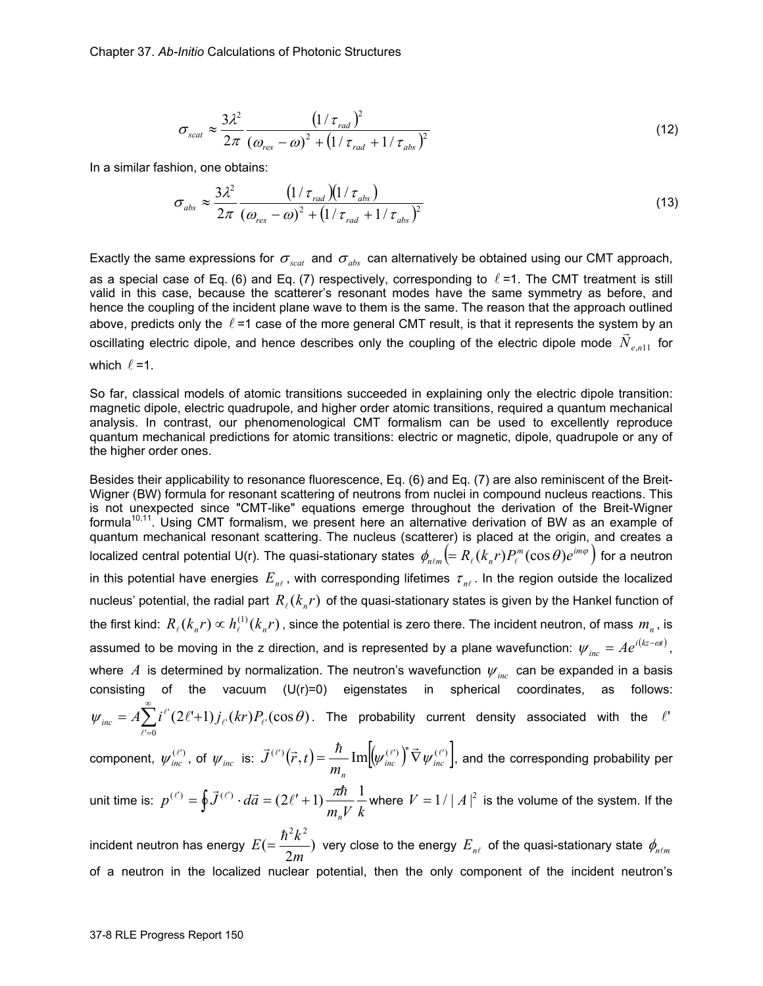$$
\sigma_{scat} \approx \frac{3\lambda^2}{2\pi} \frac{\left(1/\tau_{rad}\right)^2}{\left(\omega_{res} - \omega\right)^2 + \left(1/\tau_{rad} + 1/\tau_{abs}\right)^2}
$$
(12)

In a similar fashion, one obtains:

$$
\sigma_{abs} \approx \frac{3\lambda^2}{2\pi} \frac{\left(1/\tau_{rad}\right)\left(1/\tau_{abs}\right)}{\left(\omega_{res} - \omega\right)^2 + \left(1/\tau_{rad} + 1/\tau_{abs}\right)^2}
$$
(13)

Exactly the same expressions for  $\sigma_{scat}$  and  $\sigma_{abs}$  can alternatively be obtained using our CMT approach, as a special case of Eq. (6) and Eq. (7) respectively, corresponding to  $\ell$  =1. The CMT treatment is still valid in this case, because the scatterer's resonant modes have the same symmetry as before, and hence the coupling of the incident plane wave to them is the same. The reason that the approach outlined above, predicts only the  $\ell$  =1 case of the more general CMT result, is that it represents the system by an  $\vec{a}$  oscillating electric dipole, and hence describes only the coupling of the electric dipole mode  $\vec{N}_{e,n11}$  for which  $\ell = 1$ .

So far, classical models of atomic transitions succeeded in explaining only the electric dipole transition: magnetic dipole, electric quadrupole, and higher order atomic transitions, required a quantum mechanical analysis. In contrast, our phenomenological CMT formalism can be used to excellently reproduce quantum mechanical predictions for atomic transitions: electric or magnetic, dipole, quadrupole or any of the higher order ones.

Besides their applicability to resonance fluorescence, Eq. (6) and Eq. (7) are also reminiscent of the Breit-Wigner (BW) formula for resonant scattering of neutrons from nuclei in compound nucleus reactions. This is not unexpected since "CMT-like" equations emerge throughout the derivation of the Breit-Wigner formula<sup>10,11</sup>. Using CMT formalism, we present here an alternative derivation of BW as an example of quantum mechanical resonant scattering. The nucleus (scatterer) is placed at the origin, and creates a localized central potential U(r). The quasi-stationary states  $\,\phi_{n\ell m}\big(\!=R_\ell(k_n r)P_\ell^m(\cos\theta)e^{im\varphi}\,\big)$  for a neutron in this potential have energies  $E_{n\ell}$ , with corresponding lifetimes  $\tau_{n\ell}$ . In the region outside the localized nucleus' potential, the radial part  $R_{\ell}(k_{n}r)$  of the quasi-stationary states is given by the Hankel function of the first kind:  $R_{\ell}(k_n r) \propto h_{\ell}^{(1)}(k_n r)$ , since the potential is zero there. The incident neutron, of mass  $m_n$ , is assumed to be moving in the z direction, and is represented by a plane wavefunction:  $\psi_{_{inc}} = Ae^{i(kz-\omega t)}$ , where *A* is determined by normalization. The neutron's wavefunction  $\psi_{inc}$  can be expanded in a basis consisting of the vacuum  $(U(r)=0)$  eigenstates in spherical coordinates, as follows:  $\sum^{\infty}$ =  $= A \sum_{\ell'=0} i^{\ell'} (2\ell'+1) j_{\ell'}(kr) P_{\ell'}$  $\psi_{inc} = A \sum i^{i'} (2\ell' + 1) j_{\ell'}(kr) P_{\ell'}(\cos \theta)$ . The probability current density associated with the  $\ell'$  $\ell$ component,  $\psi_{inc}^{(\ell')}$ , of  $\psi_{inc}$  is:  $\vec{J}^{(\ell')}(\vec{r},t) = \frac{\hbar}{m} \text{Im} \left[ \psi_{inc}^{(\ell')} \right]^* \vec{\nabla} \psi_{inc}^{(\ell')}$ *mn*  $J^{(\ell)}(\vec{r},t)$  =  $\frac{H}{m}$  Im $[\psi_{inc}^{(\ell')}) \nabla \psi_{inc}^{(\ell')}]$ , and the corresponding probability per unit time is:  $p^{(\ell')} = \oint \vec{J}^{(\ell')} \cdot d\vec{a} = (2\ell'+1) \frac{\pi \hbar}{m_n V} \frac{1}{k}$  where  $V = 1/|A|^2$  is the volume of the system. If the  $21.2$ 

incident neutron has energy  $E = \frac{n \pi}{2m}$ )  $E (=\displaystyle\frac{\hbar^2 k^2}{2m})$  very close to the energy  $E_{_{n\ell}}$  of the quasi-stationary state  $\phi_{_{n\ell m}}$ of a neutron in the localized nuclear potential, then the only component of the incident neutron's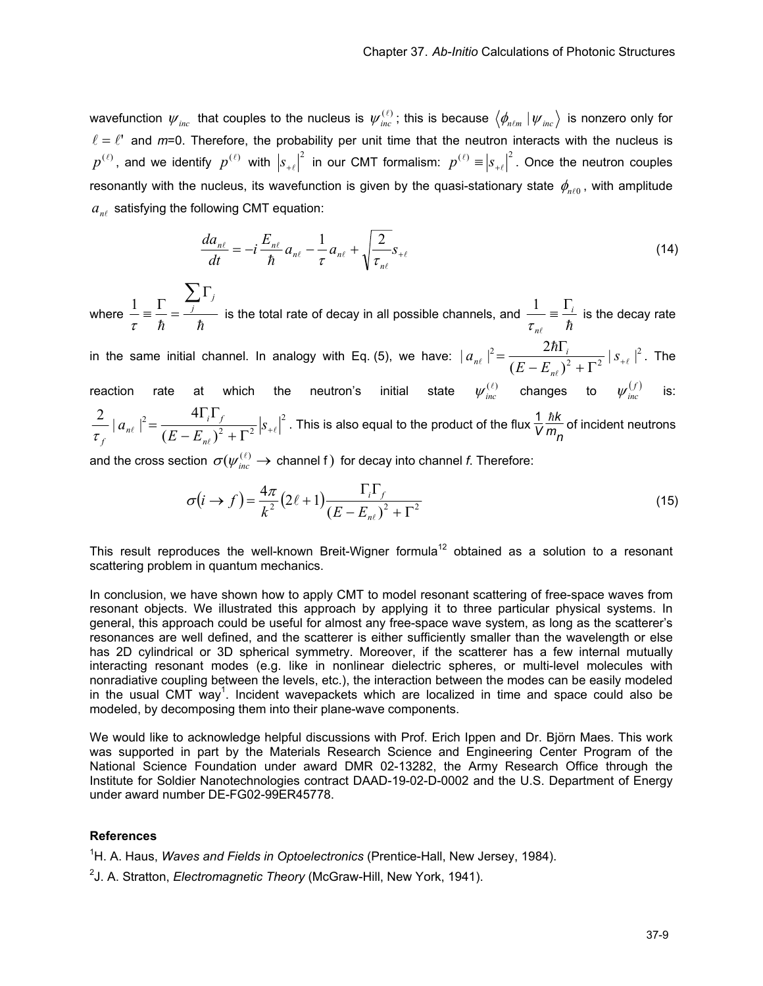wavefunction  $\psi_{inc}$  that couples to the nucleus is  $\psi_{inc}^{(\ell)}$ ; this is because  $\langle \phi_{n\ell m} | \psi_{inc} \rangle$  is nonzero only for  $\ell = \ell'$  and  $m=0$ . Therefore, the probability per unit time that the neutron interacts with the nucleus is  $p^{(\ell)}$ , and we identify  $p^{(\ell)}$  with  $|s_{+\ell}|^2$  in our CMT formalism:  $p^{(\ell)} \equiv |s_{+\ell}|^2$ . Once the neutron couples resonantly with the nucleus, its wavefunction is given by the quasi-stationary state  $\phi_{n\ell 0}$ , with amplitude  $a_{n\ell}$  satisfying the following CMT equation:

$$
\frac{da_{n\ell}}{dt} = -i\frac{E_{n\ell}}{\hbar}a_{n\ell} - \frac{1}{\tau}a_{n\ell} + \sqrt{\frac{2}{\tau_{n\ell}}}s_{+\ell}
$$
(14)

where h h ∑Γ  $\equiv \frac{\Gamma}{i} = \frac{\sum_i \Gamma_i}{\sum_i}$ τ  $\frac{1}{1} = \frac{\sum_{i=1}^{n} x_i}{1}$  is the total rate of decay in all possible channels, and  $\ell$   $\hbar$ *i n*  $\frac{1}{\tau_{\text{ref}}} = \frac{\Gamma_{\text{i}}}{\hbar}$  $\frac{1}{i} = \frac{\Gamma_i}{i}$  is the decay rate

in the same initial channel. In analogy with Eq. (5), we have:  $\mid a_{n\ell}\mid^2 = \frac{2\hbar\Gamma_i}{\left(E-E_{n\ell}\right)^2+\Gamma^2}\mid s_{+\ell}\mid^2$  $\ell$ h  $(- E_{n\ell})^2 + \Gamma^{2}$  $=\frac{2\hbar\Gamma_{i}}{(E-E_{i})^{2}-E_{i}^{2}}\left[s\right]$  $E - E$ *a n*  $\left| \int_{n\ell}^{2} \right|^{2} = \frac{2n_1}{(E-E_{1})^2 + E_{1}^2} |s_{1\ell}|^{2}$ . The reaction rate at which the neutron's initial state  $\psi_{\textit{inc}}^{(\ell)}$  changes to  $\psi_{\textit{inc}}^{(f)}$  is: 2 2  $\Gamma^2$ 2  $(E - E_{n})$  $\frac{2}{\epsilon} |a_{n\ell}|^2 = \frac{4\Gamma_i \Gamma_f}{(E-E)^2 + \Gamma^2} |s_{+\ell}|^2$  $\ell$ <sup>+</sup>  $\frac{1}{(E - E_{n\ell})^2 + \Gamma^2}$   $|S_+$  $=\frac{4\Gamma_i\Gamma_f}{(E-E)^2}$  $E - E$ *a n i f*  $\overline{\tau_f}$ <sup>|  $a_n$ </sup> . This is also equal to the product of the flux  $\frac{1}{V}$ h*k*  $\frac{m}{m}$  of incident neutrons

and the cross section  $\, \sigma(\psi_{\textit{inc}}^{(\ell)} \rightarrow \, \,$ channel f $) \,$  for decay into channel *f*. Therefore:

$$
\sigma(i \to f) = \frac{4\pi}{k^2} \left(2\ell + 1\right) \frac{\Gamma_i \Gamma_f}{\left(E - E_{n\ell}\right)^2 + \Gamma^2} \tag{15}
$$

This result reproduces the well-known Breit-Wigner formula<sup>12</sup> obtained as a solution to a resonant scattering problem in quantum mechanics.

In conclusion, we have shown how to apply CMT to model resonant scattering of free-space waves from resonant objects. We illustrated this approach by applying it to three particular physical systems. In general, this approach could be useful for almost any free-space wave system, as long as the scatterer's resonances are well defined, and the scatterer is either sufficiently smaller than the wavelength or else has 2D cylindrical or 3D spherical symmetry. Moreover, if the scatterer has a few internal mutually interacting resonant modes (e.g. like in nonlinear dielectric spheres, or multi-level molecules with nonradiative coupling between the levels, etc.), the interaction between the modes can be easily modeled in the usual CMT way<sup>1</sup>. Incident wavepackets which are localized in time and space could also be modeled, by decomposing them into their plane-wave components.

We would like to acknowledge helpful discussions with Prof. Erich Ippen and Dr. Björn Maes. This work was supported in part by the Materials Research Science and Engineering Center Program of the National Science Foundation under award DMR 02-13282, the Army Research Office through the Institute for Soldier Nanotechnologies contract DAAD-19-02-D-0002 and the U.S. Department of Energy under award number DE-FG02-99ER45778.

#### **References**

<sup>1</sup>H. A. Haus, *Waves and Fields in Optoelectronics* (Prentice-Hall, New Jersey, 1984).

2 J. A. Stratton, *Electromagnetic Theory* (McGraw-Hill, New York, 1941).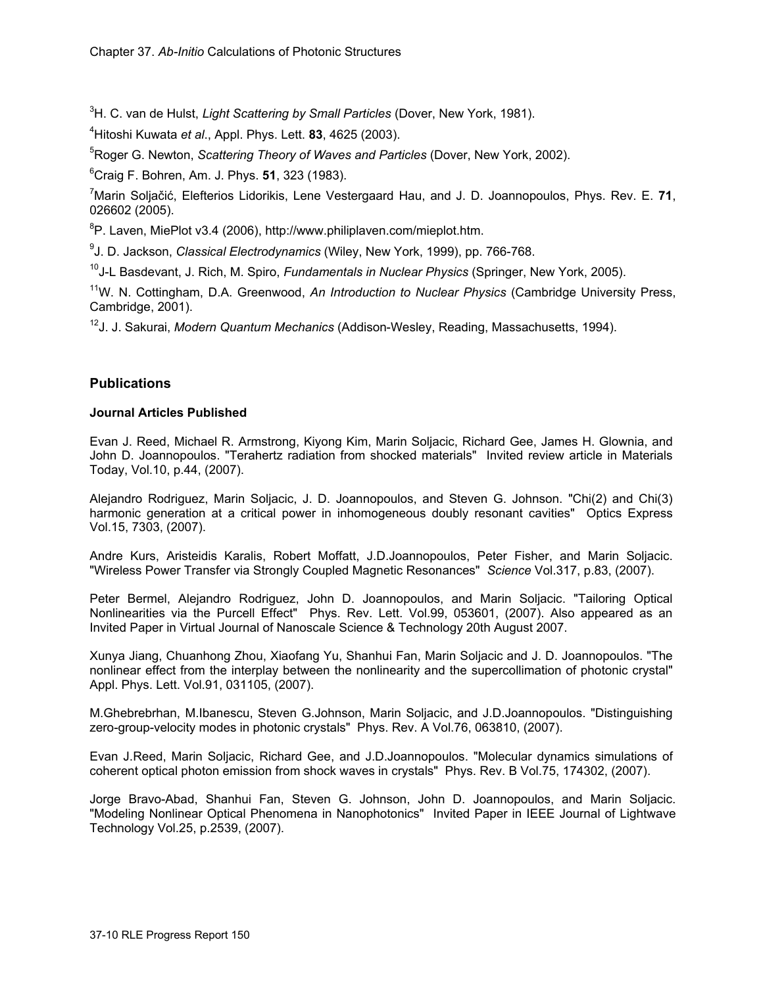3 H. C. van de Hulst, *Light Scattering by Small Particles* (Dover, New York, 1981).

4 Hitoshi Kuwata *et al*., Appl. Phys. Lett. **83**, 4625 (2003).

5 Roger G. Newton, *Scattering Theory of Waves and Particles* (Dover, New York, 2002).

6 Craig F. Bohren, Am. J. Phys. **51**, 323 (1983).

7 Marin Soljačić, Elefterios Lidorikis, Lene Vestergaard Hau, and J. D. Joannopoulos, Phys. Rev. E. **71**, 026602 (2005).

<sup>8</sup>P. Laven, MiePlot v3.4 (2006), http://www.philiplaven.com/mieplot.htm.

9 J. D. Jackson, *Classical Electrodynamics* (Wiley, New York, 1999), pp. 766-768.

10J-L Basdevant, J. Rich, M. Spiro, *Fundamentals in Nuclear Physics* (Springer, New York, 2005).

11W. N. Cottingham, D.A. Greenwood, *An Introduction to Nuclear Physics* (Cambridge University Press, Cambridge, 2001).

12J. J. Sakurai, *Modern Quantum Mechanics* (Addison-Wesley, Reading, Massachusetts, 1994).

# **Publications**

## **Journal Articles Published**

Evan J. Reed, Michael R. Armstrong, Kiyong Kim, Marin Soljacic, Richard Gee, James H. Glownia, and John D. Joannopoulos. "Terahertz radiation from shocked materials" Invited review article in Materials Today, Vol.10, p.44, (2007).

Alejandro Rodriguez, Marin Soljacic, J. D. Joannopoulos, and Steven G. Johnson. "Chi(2) and Chi(3) harmonic generation at a critical power in inhomogeneous doubly resonant cavities" Optics Express Vol.15, 7303, (2007).

Andre Kurs, Aristeidis Karalis, Robert Moffatt, J.D.Joannopoulos, Peter Fisher, and Marin Soljacic. "Wireless Power Transfer via Strongly Coupled Magnetic Resonances" *Science* Vol.317, p.83, (2007).

Peter Bermel, Alejandro Rodriguez, John D. Joannopoulos, and Marin Soljacic. "Tailoring Optical Nonlinearities via the Purcell Effect" Phys. Rev. Lett. Vol.99, 053601, (2007). Also appeared as an Invited Paper in Virtual Journal of Nanoscale Science & Technology 20th August 2007.

Xunya Jiang, Chuanhong Zhou, Xiaofang Yu, Shanhui Fan, Marin Soljacic and J. D. Joannopoulos. "The nonlinear effect from the interplay between the nonlinearity and the supercollimation of photonic crystal" Appl. Phys. Lett. Vol.91, 031105, (2007).

M.Ghebrebrhan, M.Ibanescu, Steven G.Johnson, Marin Soljacic, and J.D.Joannopoulos. "Distinguishing zero-group-velocity modes in photonic crystals" Phys. Rev. A Vol.76, 063810, (2007).

Evan J.Reed, Marin Soljacic, Richard Gee, and J.D.Joannopoulos. "Molecular dynamics simulations of coherent optical photon emission from shock waves in crystals" Phys. Rev. B Vol.75, 174302, (2007).

Jorge Bravo-Abad, Shanhui Fan, Steven G. Johnson, John D. Joannopoulos, and Marin Soljacic. "Modeling Nonlinear Optical Phenomena in Nanophotonics" Invited Paper in IEEE Journal of Lightwave Technology Vol.25, p.2539, (2007).